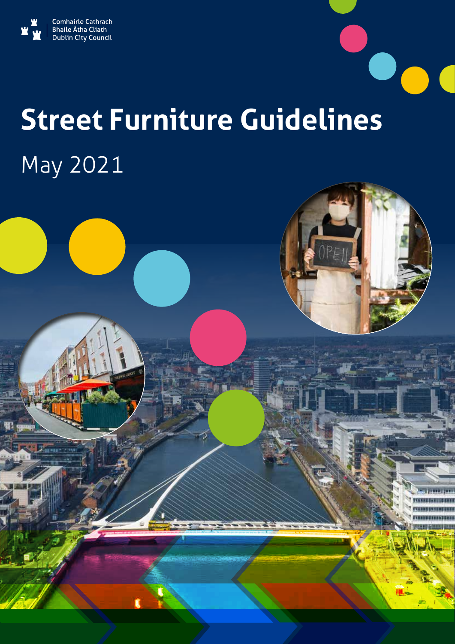

# **Street Furniture Guidelines** May 2021

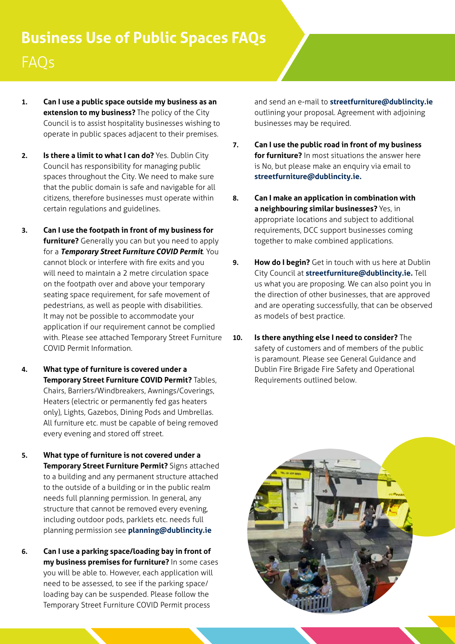- **1. Can I use a public space outside my business as an extension to my business?** The policy of the City Council is to assist hospitality businesses wishing to operate in public spaces adjacent to their premises.
- **2. Is there a limit to what I can do?** Yes. Dublin City Council has responsibility for managing public spaces throughout the City. We need to make sure that the public domain is safe and navigable for all citizens, therefore businesses must operate within certain regulations and guidelines.
- **3. Can I use the footpath in front of my business for furniture?** Generally you can but you need to apply for a *Temporary Street Furniture COVID Permit*. You cannot block or interfere with fire exits and you will need to maintain a 2 metre circulation space on the footpath over and above your temporary seating space requirement, for safe movement of pedestrians, as well as people with disabilities. It may not be possible to accommodate your application if our requirement cannot be complied with. Please see attached Temporary Street Furniture COVID Permit Information.
- **4. What type of furniture is covered under a Temporary Street Furniture COVID Permit?** Tables, Chairs, Barriers/Windbreakers, Awnings/Coverings, Heaters (electric or permanently fed gas heaters only), Lights, Gazebos, Dining Pods and Umbrellas. All furniture etc. must be capable of being removed every evening and stored off street.
- **5. What type of furniture is not covered under a Temporary Street Furniture Permit?** Signs attached to a building and any permanent structure attached to the outside of a building or in the public realm needs full planning permission. In general, any structure that cannot be removed every evening, including outdoor pods, parklets etc. needs full planning permission see **planning@dublincity.ie**
- **6. Can I use a parking space/loading bay in front of my business premises for furniture?** In some cases you will be able to. However, each application will need to be assessed, to see if the parking space/ loading bay can be suspended. Please follow the Temporary Street Furniture COVID Permit process

and send an e-mail to **streetfurniture@dublincity.ie** outlining your proposal. Agreement with adjoining businesses may be required.

- **7. Can I use the public road in front of my business for furniture?** In most situations the answer here is No, but please make an enquiry via email to **streetfurniture@dublincity.ie.**
- **8. Can I make an application in combination with a neighbouring similar businesses?** Yes, in appropriate locations and subject to additional requirements, DCC support businesses coming together to make combined applications.
- **9. How do I begin?** Get in touch with us here at Dublin City Council at **streetfurniture@dublincity.ie.** Tell us what you are proposing. We can also point you in the direction of other businesses, that are approved and are operating successfully, that can be observed as models of best practice.
- **10. Is there anything else I need to consider?** The safety of customers and of members of the public is paramount. Please see General Guidance and Dublin Fire Brigade Fire Safety and Operational Requirements outlined below.

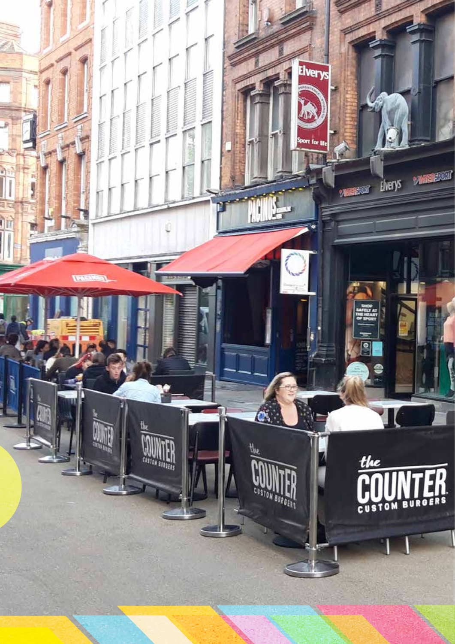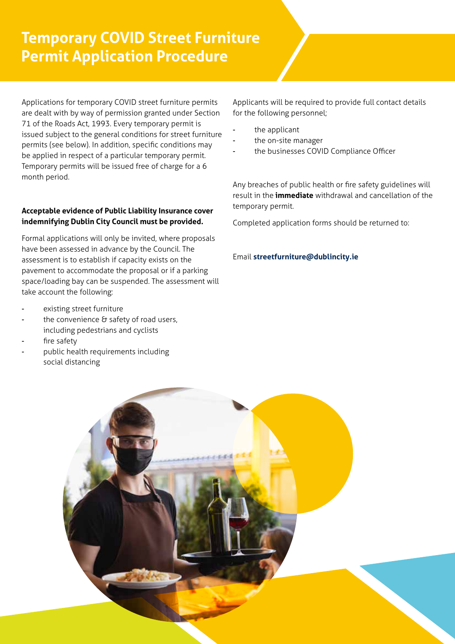# **Temporary COVID Street Furniture Permit Application Procedure**

Applications for temporary COVID street furniture permits are dealt with by way of permission granted under Section 71 of the Roads Act, 1993. Every temporary permit is issued subject to the general conditions for street furniture permits (see below). In addition, specific conditions may be applied in respect of a particular temporary permit. Temporary permits will be issued free of charge for a 6 month period.

## **Acceptable evidence of Public Liability Insurance cover indemnifying Dublin City Council must be provided.**

Formal applications will only be invited, where proposals have been assessed in advance by the Council. The assessment is to establish if capacity exists on the pavement to accommodate the proposal or if a parking space/loading bay can be suspended. The assessment will take account the following:

- existing street furniture
- the convenience & safety of road users, including pedestrians and cyclists
- fire safety
- public health requirements including social distancing

Applicants will be required to provide full contact details for the following personnel;

- the applicant
- the on-site manager
- the businesses COVID Compliance Officer

Any breaches of public health or fire safety guidelines will result in the **immediate** withdrawal and cancellation of the temporary permit.

Completed application forms should be returned to:

Email **streetfurniture@dublincity.ie** 

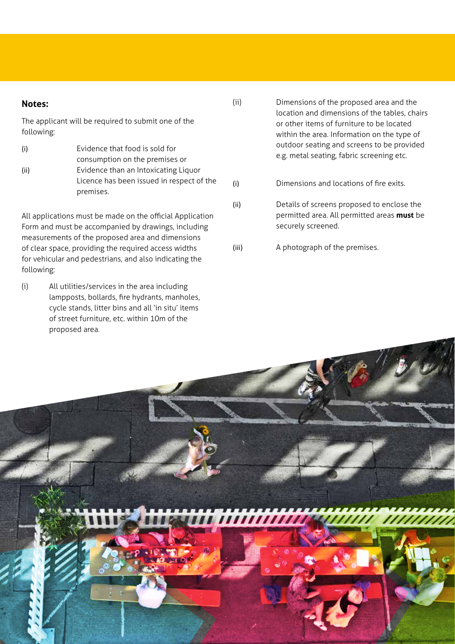### **Notes:**

The applicant will be required to submit one of the following:

(i) Evidence that food is sold for consumption on the premises or (ii) Evidence than an Intoxicating Liquor Licence has been issued in respect of the premises.

All applications must be made on the official Application Form and must be accompanied by drawings, including measurements of the proposed area and dimensions of clear space, providing the required access widths for vehicular and pedestrians, and also indicating the following:

(i) All utilities/services in the area including lampposts, bollards, fire hydrants, manholes, cycle stands, litter bins and all 'in situ' items of street furniture, etc. within 10m of the proposed area.

- (ii) Dimensions of the proposed area and the location and dimensions of the tables, chairs or other items of furniture to be located within the area. Information on the type of outdoor seating and screens to be provided e.g. metal seating, fabric screening etc.
- (i) Dimensions and locations of fire exits.
- (ii) Details of screens proposed to enclose the permitted area. All permitted areas **must** be securely screened.
- (iii) A photograph of the premises.

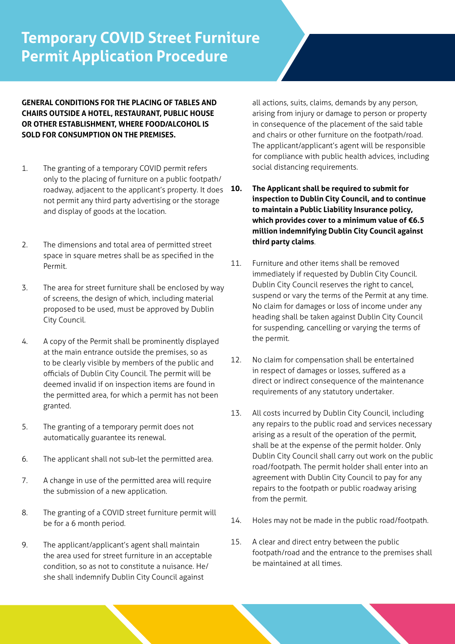# **Temporary COVID Street Furniture Permit Application Procedure**

**GENERAL CONDITIONS FOR THE PLACING OF TABLES AND CHAIRS OUTSIDE A HOTEL, RESTAURANT, PUBLIC HOUSE OR OTHER ESTABLISHMENT, WHERE FOOD/ALCOHOL IS SOLD FOR CONSUMPTION ON THE PREMISES.**

- 1. The granting of a temporary COVID permit refers only to the placing of furniture on a public footpath/ roadway, adjacent to the applicant's property. It does not permit any third party advertising or the storage and display of goods at the location.
- 2. The dimensions and total area of permitted street space in square metres shall be as specified in the Permit.
- 3. The area for street furniture shall be enclosed by way of screens, the design of which, including material proposed to be used, must be approved by Dublin City Council.
- 4. A copy of the Permit shall be prominently displayed at the main entrance outside the premises, so as to be clearly visible by members of the public and officials of Dublin City Council. The permit will be deemed invalid if on inspection items are found in the permitted area, for which a permit has not been granted.
- 5. The granting of a temporary permit does not automatically guarantee its renewal.
- 6. The applicant shall not sub-let the permitted area.
- 7. A change in use of the permitted area will require the submission of a new application.
- 8. The granting of a COVID street furniture permit will be for a 6 month period.
- 9. The applicant/applicant's agent shall maintain the area used for street furniture in an acceptable condition, so as not to constitute a nuisance. He/ she shall indemnify Dublin City Council against

all actions, suits, claims, demands by any person, arising from injury or damage to person or property in consequence of the placement of the said table and chairs or other furniture on the footpath/road. The applicant/applicant's agent will be responsible for compliance with public health advices, including social distancing requirements.

- **10. The Applicant shall be required to submit for inspection to Dublin City Council, and to continue to maintain a Public Liability Insurance policy, which provides cover to a minimum value of €6.5 million indemnifying Dublin City Council against third party claims**.
- 11. Furniture and other items shall be removed immediately if requested by Dublin City Council. Dublin City Council reserves the right to cancel, suspend or vary the terms of the Permit at any time. No claim for damages or loss of income under any heading shall be taken against Dublin City Council for suspending, cancelling or varying the terms of the permit.
- 12. No claim for compensation shall be entertained in respect of damages or losses, suffered as a direct or indirect consequence of the maintenance requirements of any statutory undertaker.
- 13. All costs incurred by Dublin City Council, including any repairs to the public road and services necessary arising as a result of the operation of the permit, shall be at the expense of the permit holder. Only Dublin City Council shall carry out work on the public road/footpath. The permit holder shall enter into an agreement with Dublin City Council to pay for any repairs to the footpath or public roadway arising from the permit.
- 14. Holes may not be made in the public road/footpath.
- 15. A clear and direct entry between the public footpath/road and the entrance to the premises shall be maintained at all times.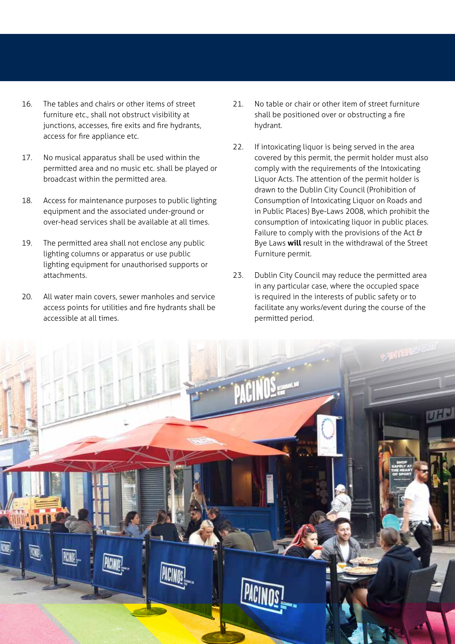- 16. The tables and chairs or other items of street furniture etc., shall not obstruct visibility at junctions, accesses, fire exits and fire hydrants, access for fire appliance etc.
- 17. No musical apparatus shall be used within the permitted area and no music etc. shall be played or broadcast within the permitted area.
- 18. Access for maintenance purposes to public lighting equipment and the associated under-ground or over-head services shall be available at all times.
- 19. The permitted area shall not enclose any public lighting columns or apparatus or use public lighting equipment for unauthorised supports or attachments.
- 20. All water main covers, sewer manholes and service access points for utilities and fire hydrants shall be accessible at all times.
- 21. No table or chair or other item of street furniture shall be positioned over or obstructing a fire hydrant.
- 22. If intoxicating liquor is being served in the area covered by this permit, the permit holder must also comply with the requirements of the Intoxicating Liquor Acts. The attention of the permit holder is drawn to the Dublin City Council (Prohibition of Consumption of Intoxicating Liquor on Roads and in Public Places) Bye-Laws 2008, which prohibit the consumption of intoxicating liquor in public places. Failure to comply with the provisions of the Act  $\theta$ Bye Laws **will** result in the withdrawal of the Street Furniture permit.
- 23. Dublin City Council may reduce the permitted area in any particular case, where the occupied space is required in the interests of public safety or to facilitate any works/event during the course of the permitted period.

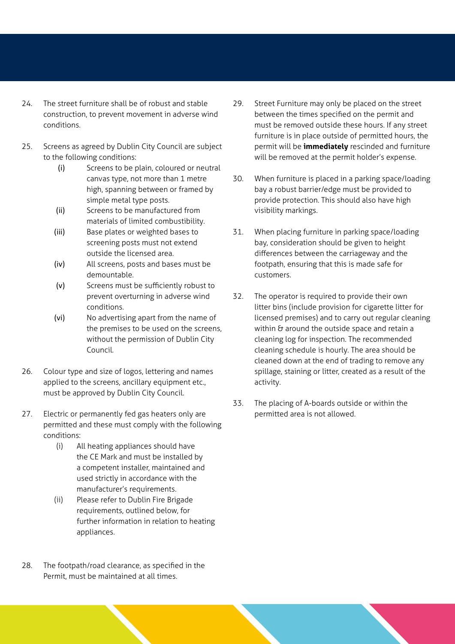- 24. The street furniture shall be of robust and stable construction, to prevent movement in adverse wind conditions.
- 25. Screens as agreed by Dublin City Council are subject to the following conditions:
	- (i) Screens to be plain, coloured or neutral canvas type, not more than 1 metre high, spanning between or framed by simple metal type posts.
	- (ii) Screens to be manufactured from materials of limited combustibility.
	- (iii) Base plates or weighted bases to screening posts must not extend outside the licensed area.
	- (iv) All screens, posts and bases must be demountable.
	- (v) Screens must be sufficiently robust to prevent overturning in adverse wind conditions.
	- (vi) No advertising apart from the name of the premises to be used on the screens, without the permission of Dublin City Council.
- 26. Colour type and size of logos, lettering and names applied to the screens, ancillary equipment etc., must be approved by Dublin City Council.
- 27. Electric or permanently fed gas heaters only are permitted and these must comply with the following conditions:
	- (i) All heating appliances should have the CE Mark and must be installed by a competent installer, maintained and used strictly in accordance with the manufacturer's requirements.
	- (ii) Please refer to Dublin Fire Brigade requirements, outlined below, for further information in relation to heating appliances.
- 28. The footpath/road clearance, as specified in the Permit, must be maintained at all times.
- 29. Street Furniture may only be placed on the street between the times specified on the permit and must be removed outside these hours. If any street furniture is in place outside of permitted hours, the permit will be **immediately** rescinded and furniture will be removed at the permit holder's expense.
- 30. When furniture is placed in a parking space/loading bay a robust barrier/edge must be provided to provide protection. This should also have high visibility markings.
- 31. When placing furniture in parking space/loading bay, consideration should be given to height differences between the carriageway and the footpath, ensuring that this is made safe for customers.
- 32. The operator is required to provide their own litter bins (include provision for cigarette litter for licensed premises) and to carry out regular cleaning within & around the outside space and retain a cleaning log for inspection. The recommended cleaning schedule is hourly. The area should be cleaned down at the end of trading to remove any spillage, staining or litter, created as a result of the activity.
- 33. The placing of A-boards outside or within the permitted area is not allowed.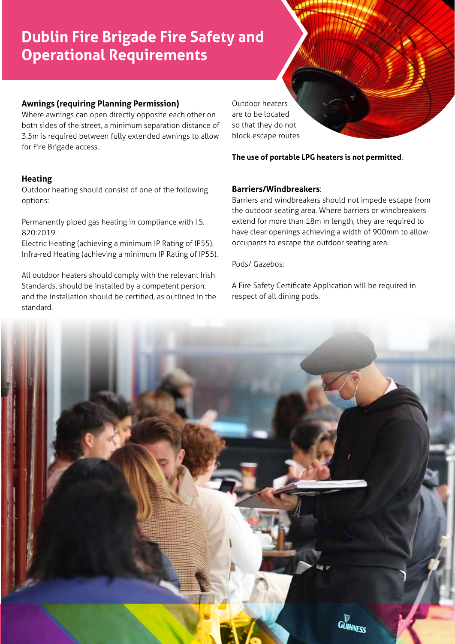# **Dublin Fire Brigade Fire Safety and Operational Requirements**

## **Awnings (requiring Planning Permission)**

Where awnings can open directly opposite each other on both sides of the street, a minimum separation distance of 3.5m is required between fully extended awnings to allow for Fire Brigade access.

Outdoor heaters are to be located so that they do not block escape routes

**The use of portable LPG heaters is not permitted**.

### **Heating**

Outdoor heating should consist of one of the following options:

Permanently piped gas heating in compliance with I.S. 820:2019.

Electric Heating (achieving a minimum IP Rating of IP55). Infra-red Heating (achieving a minimum IP Rating of IP55).

All outdoor heaters should comply with the relevant Irish Standards, should be installed by a competent person, and the installation should be certified, as outlined in the standard.

### **Barriers/Windbreakers**:

Barriers and windbreakers should not impede escape from the outdoor seating area. Where barriers or windbreakers extend for more than 18m in length, they are required to have clear openings achieving a width of 900mm to allow occupants to escape the outdoor seating area.

Pods/ Gazebos:

A Fire Safety Certificate Application will be required in respect of all dining pods.

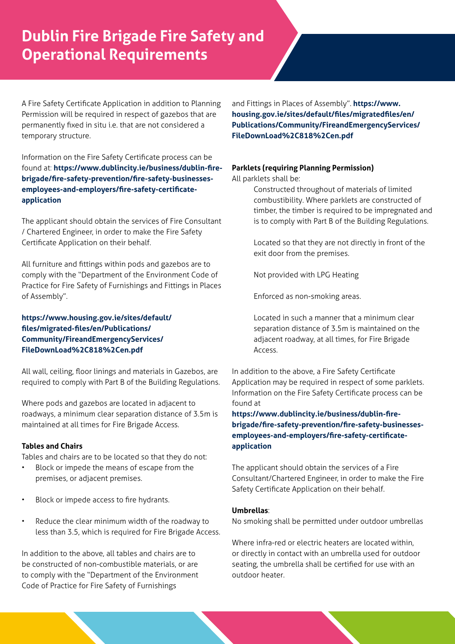# **Dublin Fire Brigade Fire Safety and Operational Requirements**

A Fire Safety Certificate Application in addition to Planning Permission will be required in respect of gazebos that are permanently fixed in situ i.e. that are not considered a temporary structure.

Information on the Fire Safety Certificate process can be found at: **https://www.dublincity.ie/business/dublin-firebrigade/fire-safety-prevention/fire-safety-businessesemployees-and-employers/fire-safety-certificateapplication**

The applicant should obtain the services of Fire Consultant / Chartered Engineer, in order to make the Fire Safety Certificate Application on their behalf.

All furniture and fittings within pods and gazebos are to comply with the "Department of the Environment Code of Practice for Fire Safety of Furnishings and Fittings in Places of Assembly".

### **https://www.housing.gov.ie/sites/default/ files/migrated-files/en/Publications/ Community/FireandEmergencyServices/ FileDownLoad%2C818%2Cen.pdf**

All wall, ceiling, floor linings and materials in Gazebos, are required to comply with Part B of the Building Regulations.

Where pods and gazebos are located in adjacent to roadways, a minimum clear separation distance of 3.5m is maintained at all times for Fire Brigade Access.

### **Tables and Chairs**

Tables and chairs are to be located so that they do not:

- Block or impede the means of escape from the premises, or adjacent premises.
- Block or impede access to fire hydrants.
- Reduce the clear minimum width of the roadway to less than 3.5, which is required for Fire Brigade Access.

In addition to the above, all tables and chairs are to be constructed of non-combustible materials, or are to comply with the "Department of the Environment Code of Practice for Fire Safety of Furnishings

and Fittings in Places of Assembly". **https://www. housing.gov.ie/sites/default/files/migratedfiles/en/ Publications/Community/FireandEmergencyServices/ FileDownLoad%2C818%2Cen.pdf**

### **Parklets (requiring Planning Permission)**

All parklets shall be:

Constructed throughout of materials of limited combustibility. Where parklets are constructed of timber, the timber is required to be impregnated and is to comply with Part B of the Building Regulations.

Located so that they are not directly in front of the exit door from the premises.

Not provided with LPG Heating

Enforced as non-smoking areas.

Located in such a manner that a minimum clear separation distance of 3.5m is maintained on the adjacent roadway, at all times, for Fire Brigade Access.

In addition to the above, a Fire Safety Certificate Application may be required in respect of some parklets. Information on the Fire Safety Certificate process can be found at

**https://www.dublincity.ie/business/dublin-firebrigade/fire-safety-prevention/fire-safety-businessesemployees-and-employers/fire-safety-certificateapplication**

The applicant should obtain the services of a Fire Consultant/Chartered Engineer, in order to make the Fire Safety Certificate Application on their behalf.

#### **Umbrellas**:

No smoking shall be permitted under outdoor umbrellas

Where infra-red or electric heaters are located within, or directly in contact with an umbrella used for outdoor seating, the umbrella shall be certified for use with an outdoor heater.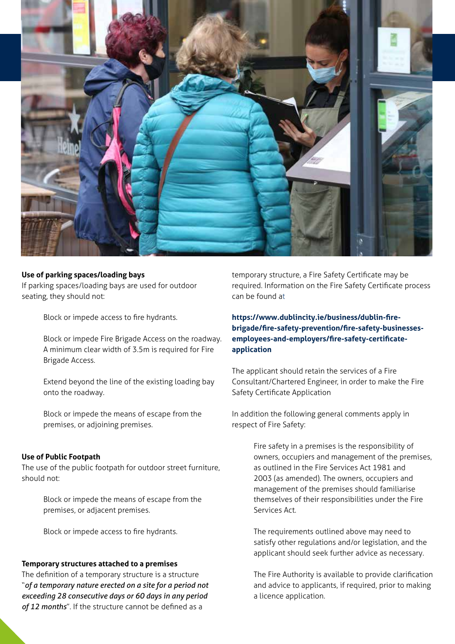

#### **Use of parking spaces/loading bays**

If parking spaces/loading bays are used for outdoor seating, they should not:

Block or impede access to fire hydrants.

Block or impede Fire Brigade Access on the roadway. A minimum clear width of 3.5m is required for Fire Brigade Access.

Extend beyond the line of the existing loading bay onto the roadway.

Block or impede the means of escape from the premises, or adjoining premises.

#### **Use of Public Footpath**

The use of the public footpath for outdoor street furniture, should not:

> Block or impede the means of escape from the premises, or adjacent premises.

Block or impede access to fire hydrants.

#### **Temporary structures attached to a premises**

The definition of a temporary structure is a structure "*of a temporary nature erected on a site for a period not exceeding 28 consecutive days or 60 days in any period of 12 months*". If the structure cannot be defined as a

temporary structure, a Fire Safety Certificate may be required. Information on the Fire Safety Certificate process can be found at

### **https://www.dublincity.ie/business/dublin-firebrigade/fire-safety-prevention/fire-safety-businessesemployees-and-employers/fire-safety-certificateapplication**

The applicant should retain the services of a Fire Consultant/Chartered Engineer, in order to make the Fire Safety Certificate Application

In addition the following general comments apply in respect of Fire Safety:

> Fire safety in a premises is the responsibility of owners, occupiers and management of the premises, as outlined in the Fire Services Act 1981 and 2003 (as amended). The owners, occupiers and management of the premises should familiarise themselves of their responsibilities under the Fire Services Act.

The requirements outlined above may need to satisfy other regulations and/or legislation, and the applicant should seek further advice as necessary.

The Fire Authority is available to provide clarification and advice to applicants, if required, prior to making a licence application.